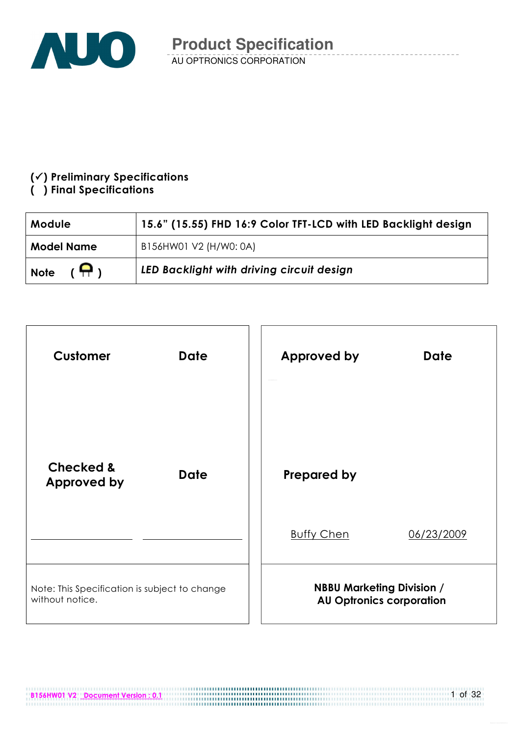

### $(\checkmark)$  Preliminary Specifications

### () Final Specifications

| Module                       | 15.6" (15.55) FHD 16:9 Color TFT-LCD with LED Backlight design |  |  |  |
|------------------------------|----------------------------------------------------------------|--|--|--|
| <b>Model Name</b>            | B156HW01 V2 (H/W0: 0A)                                         |  |  |  |
| $(\bigoplus)$<br><b>Note</b> | LED Backlight with driving circuit design                      |  |  |  |



B156HW01 V2 Document Version : 0.1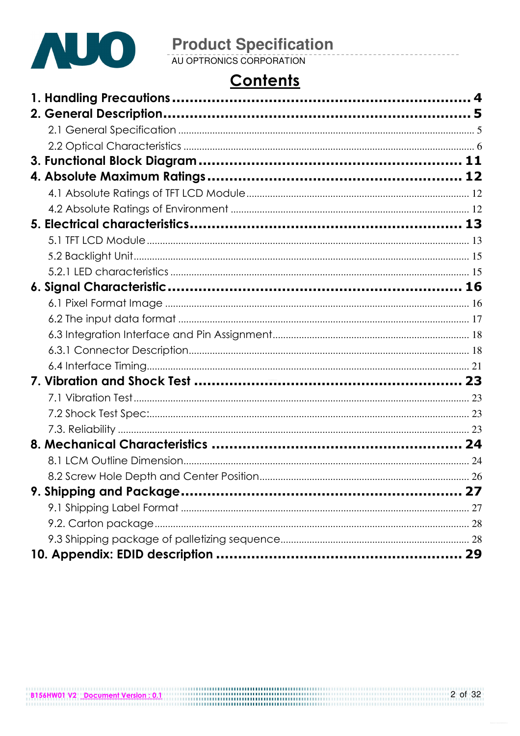

## **Contents**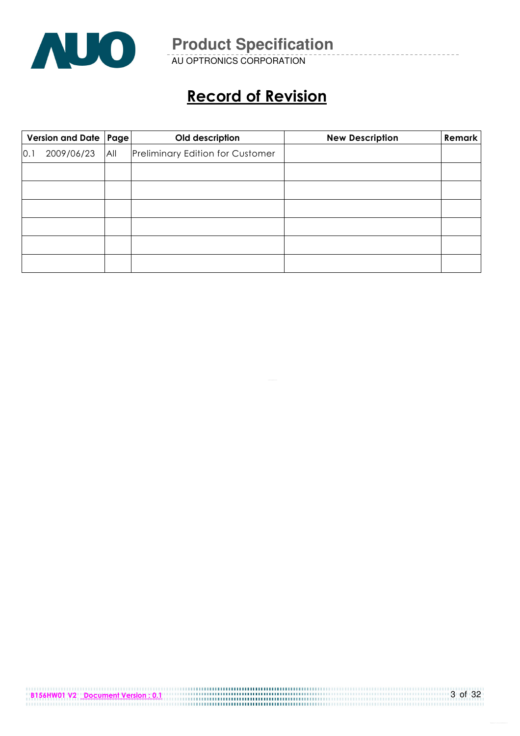

AU OPTRONICS CORPORATION

## Record of Revision

|     | Version and Date   Page  <br>Old description |     |                                         | <b>New Description</b> | Remark |
|-----|----------------------------------------------|-----|-----------------------------------------|------------------------|--------|
| 0.1 | 2009/06/23                                   | All | <b>Preliminary Edition for Customer</b> |                        |        |
|     |                                              |     |                                         |                        |        |
|     |                                              |     |                                         |                        |        |
|     |                                              |     |                                         |                        |        |
|     |                                              |     |                                         |                        |        |
|     |                                              |     |                                         |                        |        |
|     |                                              |     |                                         |                        |        |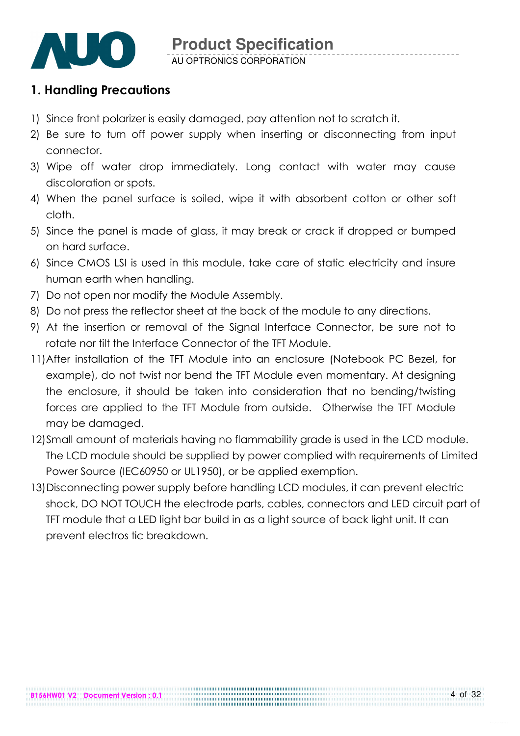

### 1. Handling Precautions

- 1) Since front polarizer is easily damaged, pay attention not to scratch it.
- 2) Be sure to turn off power supply when inserting or disconnecting from input connector.
- 3) Wipe off water drop immediately. Long contact with water may cause discoloration or spots.
- 4) When the panel surface is soiled, wipe it with absorbent cotton or other soft cloth.
- 5) Since the panel is made of glass, it may break or crack if dropped or bumped on hard surface.
- 6) Since CMOS LSI is used in this module, take care of static electricity and insure human earth when handling.
- 7) Do not open nor modify the Module Assembly.
- 8) Do not press the reflector sheet at the back of the module to any directions.
- 9) At the insertion or removal of the Signal Interface Connector, be sure not to rotate nor tilt the Interface Connector of the TFT Module.
- 11) After installation of the TFT Module into an enclosure (Notebook PC Bezel, for example), do not twist nor bend the TFT Module even momentary. At designing the enclosure, it should be taken into consideration that no bending/twisting forces are applied to the TFT Module from outside. Otherwise the TFT Module may be damaged.
- 12)Small amount of materials having no flammability grade is used in the LCD module. The LCD module should be supplied by power complied with requirements of Limited Power Source (IEC60950 or UL1950), or be applied exemption.
- 13)Disconnecting power supply before handling LCD modules, it can prevent electric shock, DO NOT TOUCH the electrode parts, cables, connectors and LED circuit part of TFT module that a LED light bar build in as a light source of back light unit. It can prevent electros tic breakdown.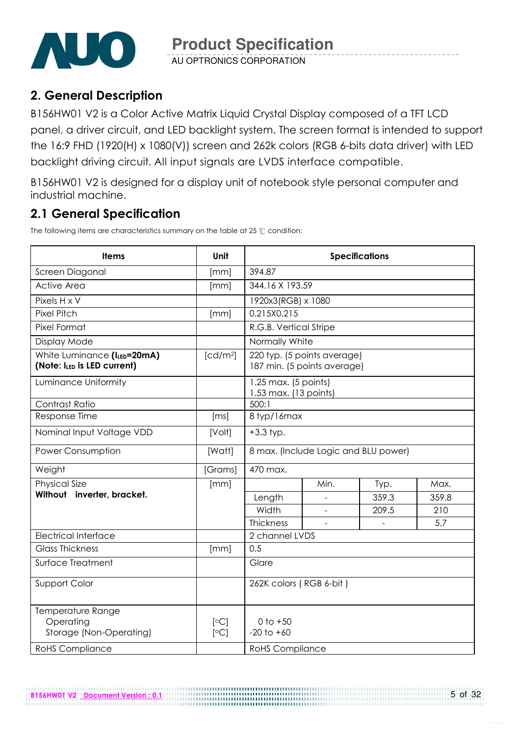

AU OPTRONICS CORPORATION

### 2. General Description

B156HW01 V2 is a Color Active Matrix Liquid Crystal Display composed of a TFT LCD panel, a driver circuit, and LED backlight system. The screen format is intended to support the 16:9 FHD (1920(H) x 1080(V)) screen and 262k colors (RGB 6-bits data driver) with LED backlight driving circuit. All input signals are LVDS interface compatible.

B156HW01 V2 is designed for a display unit of notebook style personal computer and industrial machine.

### 2.1 General Specification

The following items are characteristics summary on the table at 25  $\degree$ C condition:

B156HW01 V2 Document Version : 0.1

| <b>Items</b>                                               | Unit                 | <b>Specifications</b>                           |                                                            |       |       |  |  |
|------------------------------------------------------------|----------------------|-------------------------------------------------|------------------------------------------------------------|-------|-------|--|--|
| Screen Diagonal                                            | [mm]                 | 394.87                                          |                                                            |       |       |  |  |
| <b>Active Area</b>                                         | [mm]                 | 344.16 X 193.59                                 |                                                            |       |       |  |  |
| Pixels H x V                                               |                      | 1920x3(RGB) x 1080                              |                                                            |       |       |  |  |
| <b>Pixel Pitch</b>                                         | [mm]                 | 0.215X0.215                                     |                                                            |       |       |  |  |
| Pixel Format                                               |                      | R.G.B. Vertical Stripe                          |                                                            |       |       |  |  |
| Display Mode                                               |                      | Normally White                                  |                                                            |       |       |  |  |
| White Luminance (ILED=20mA)<br>(Note: ILED is LED current) | [cd/m <sup>2</sup> ] |                                                 | 220 typ. (5 points average)<br>187 min. (5 points average) |       |       |  |  |
| Luminance Uniformity                                       |                      | $1.25$ max. (5 points)<br>1.53 max. (13 points) |                                                            |       |       |  |  |
| Contrast Ratio                                             |                      | 500:1                                           |                                                            |       |       |  |  |
| Response Time                                              | [ms]                 | 8 typ/16max                                     |                                                            |       |       |  |  |
| Nominal Input Voltage VDD                                  | [Volt]               | $+3.3$ typ.                                     |                                                            |       |       |  |  |
| Power Consumption                                          | [Watt]               | 8 max. (Include Logic and BLU power)            |                                                            |       |       |  |  |
| Weight                                                     | [Grams]              | 470 max.                                        |                                                            |       |       |  |  |
| <b>Physical Size</b>                                       | [mm]                 |                                                 | Min.                                                       | Typ.  | Max.  |  |  |
| Without inverter, bracket.                                 |                      | Length                                          |                                                            | 359.3 | 359.8 |  |  |
|                                                            |                      | Width                                           |                                                            | 209.5 | 210   |  |  |
|                                                            |                      | Thickness                                       |                                                            |       | 5.7   |  |  |
| <b>Electrical Interface</b>                                |                      | 2 channel LVDS                                  |                                                            |       |       |  |  |
| <b>Glass Thickness</b>                                     | [mm]                 | 0.5                                             |                                                            |       |       |  |  |
| Surface Treatment                                          |                      | Glare                                           |                                                            |       |       |  |  |
| Support Color                                              |                      | 262K colors (RGB 6-bit)                         |                                                            |       |       |  |  |
| Temperature Range<br>Operating<br>Storage (Non-Operating)  | [°C]<br>[°C]         | $0$ to $+50$<br>$-20$ to $+60$                  |                                                            |       |       |  |  |
| <b>RoHS Compliance</b>                                     |                      | <b>RoHS Compliance</b>                          |                                                            |       |       |  |  |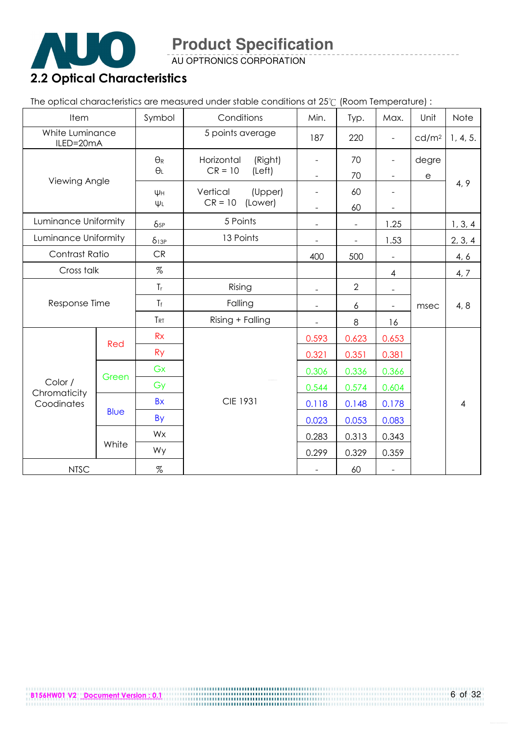

AU OPTRONICS CORPORATION

# 2.2 Optical Characteristics

The optical characteristics are measured under stable conditions at 25°C (Room Temperature) :

| Item                         |             | Symbol          | Conditions            | Min.                     | Typ.                     | Max.                     | Unit                  | Note           |
|------------------------------|-------------|-----------------|-----------------------|--------------------------|--------------------------|--------------------------|-----------------------|----------------|
| White Luminance<br>ILED=20mA |             |                 | 5 points average      | 187                      | 220                      | $\frac{1}{2}$            | cd/m <sup>2</sup>     | 1, 4, 5.       |
|                              |             | $\Theta_{R}$    | Horizontal<br>(Right) |                          | 70                       | -                        | degre                 |                |
| Viewing Angle                |             | $\Theta_L$      | $CR = 10$<br>(Left)   |                          | 70                       | ÷                        | $\mathop{\mathrm{e}}$ |                |
|                              |             | Ψн              | Vertical<br>(Upper)   |                          | 60                       |                          |                       | 4, 9           |
|                              |             | $\Psi L$        | $CR = 10$<br>(Lower)  |                          | 60                       |                          |                       |                |
| Luminance Uniformity         |             | $\delta_{5P}$   | 5 Points              | $\sim$                   | $\overline{\phantom{a}}$ | 1.25                     |                       | 1, 3, 4        |
| Luminance Uniformity         |             | $\delta_{13P}$  | 13 Points             |                          |                          | 1.53                     |                       | 2, 3, 4        |
| Contrast Ratio               |             | CR              |                       | 400                      | 500                      |                          |                       | 4, 6           |
| Cross talk                   |             | %               |                       |                          |                          | $\overline{\mathcal{A}}$ |                       | 4, 7           |
|                              |             | $T_r$           | Rising                |                          | $\overline{2}$           |                          |                       |                |
| Response Time                |             | $T_f$           | Falling               | $\overline{\phantom{a}}$ | 6                        | $\overline{\phantom{0}}$ | msec                  | 4, 8           |
|                              |             | T <sub>RT</sub> | Rising + Falling      |                          | $\,8\,$                  | 16                       |                       |                |
|                              |             | Rx              |                       | 0.593                    | 0.623                    | 0.653                    |                       |                |
|                              | Red         | <b>Ry</b>       |                       | 0.321                    | 0.351                    | 0.381                    |                       |                |
|                              |             | Gx              |                       | 0.306                    | 0.336                    | 0.366                    |                       |                |
| Color /                      | Green       | Gy              |                       | 0.544                    | 0.574                    | 0.604                    |                       |                |
| Chromaticity<br>Coodinates   |             | <b>Bx</b>       | <b>CIE 1931</b>       | 0.118                    | 0.148                    | 0.178                    |                       | $\overline{4}$ |
|                              | <b>Blue</b> | <b>By</b>       |                       | 0.023                    | 0.053                    | 0.083                    |                       |                |
|                              |             | Wx              |                       | 0.283                    | 0.313                    | 0.343                    |                       |                |
|                              | White       | Wy              |                       | 0.299                    | 0.329                    | 0.359                    |                       |                |
| <b>NTSC</b>                  |             | $\%$            |                       |                          | 60                       | $\equiv$                 |                       |                |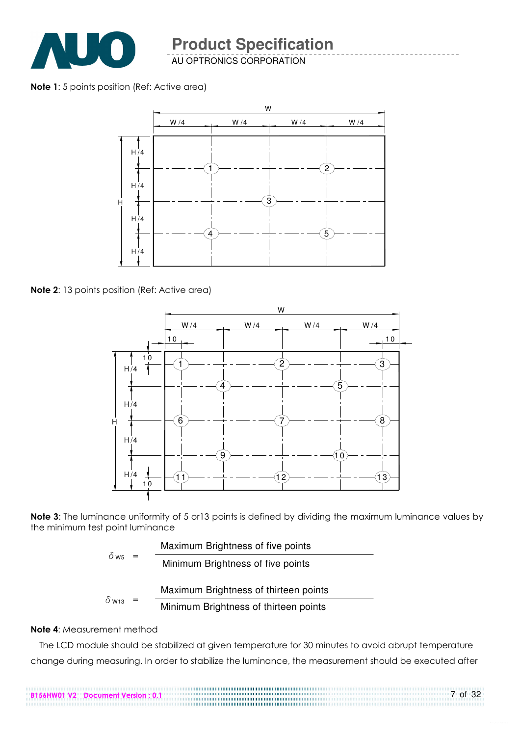

AU OPTRONICS CORPORATION

#### Note 1: 5 points position (Ref: Active area)



Note 2: 13 points position (Ref: Active area)



Note 3: The luminance uniformity of 5 or 13 points is defined by dividing the maximum luminance values by the minimum test point luminance

| $0$ W <sub>5</sub>       |     | Maximum Brightness of five points     |
|--------------------------|-----|---------------------------------------|
|                          | $=$ | Minimum Brightness of five points     |
|                          |     | Maximum Brightness of thirteen points |
| $\delta$ W <sub>13</sub> | $=$ | Minimum Brightness of thirteen points |

B156HW01 V2 Document Version : 0.1

#### Note 4: Measurement method

The LCD module should be stabilized at given temperature for 30 minutes to avoid abrupt temperature change during measuring. In order to stabilize the luminance, the measurement should be executed after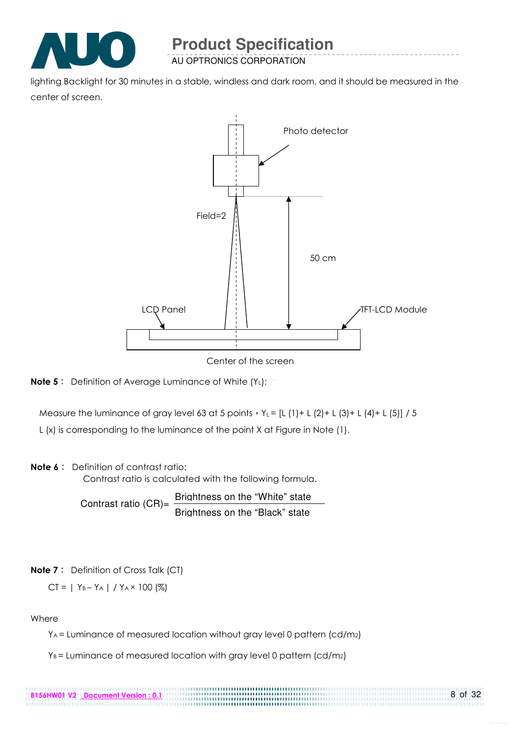

AU OPTRONICS CORPORATION

lighting Backlight for 30 minutes in a stable, windless and dark room, and it should be measured in the center of screen.



Center of the screen



Measure the luminance of gray level 63 at 5 points  $Y_L = [L (1) + L (2) + L (3) + L (4) + L (5)] / 5$ 

L (x) is corresponding to the luminance of the point X at Figure in Note (1).

#### Note 6: Definition of contrast ratio:

Contrast ratio is calculated with the following formula.

Contrast ratio  $(CR)$ = Brightness on the "White" state Brightness on the "Black" state

#### **Note 7**: Definition of Cross Talk (CT)

$$
CT = | Y_B - Y_A | / Y_A \times 100 (%)
$$

B156HW01 V2 Document Version : 0.1

#### Where

YA = Luminance of measured location without gray level 0 pattern (cd/m2)

8 of 32

 $Y_B$  = Luminance of measured location with gray level 0 pattern (cd/m2)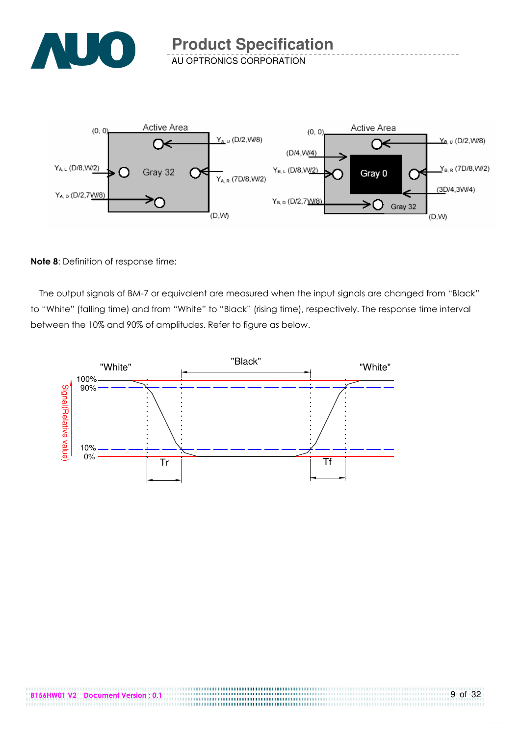

AU OPTRONICS CORPORATION



#### Note 8: Definition of response time:

The output signals of BM-7 or equivalent are measured when the input signals are changed from "Black" to "White" (falling time) and from "White" to "Black" (rising time), respectively. The response time interval between the 10% and 90% of amplitudes. Refer to figure as below.



...................................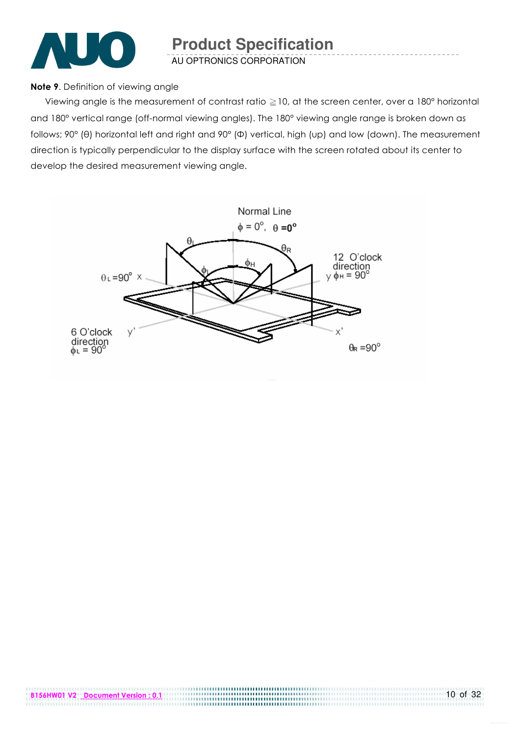

AU OPTRONICS CORPORATION

#### Note 9. Definition of viewing angle

Viewing angle is the measurement of contrast ratio  $\geq$  10, at the screen center, over a 180° horizontal and 180° vertical range (off-normal viewing angles). The 180° viewing angle range is broken down as follows; 90° (θ) horizontal left and right and 90° (Φ) vertical, high (up) and low (down). The measurement direction is typically perpendicular to the display surface with the screen rotated about its center to develop the desired measurement viewing angle.

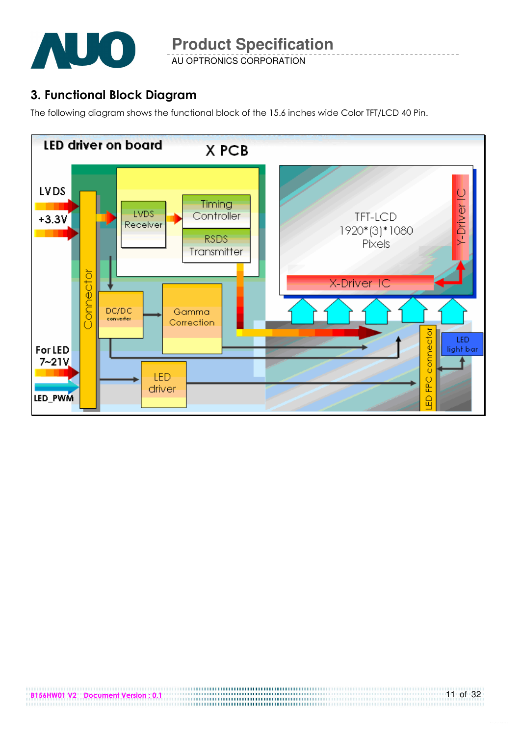

AU OPTRONICS CORPORATION

### 3. Functional Block Diagram

The following diagram shows the functional block of the 15.6 inches wide Color TFT/LCD 40 Pin.

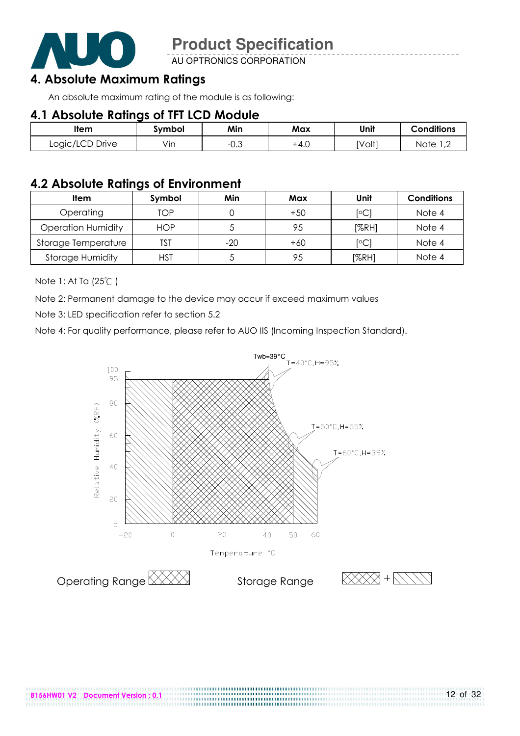

AU OPTRONICS CORPORATION

### 4. Absolute Maximum Ratings

An absolute maximum rating of the module is as following:

### 4.1 Absolute Ratings of TFT LCD Module

| ltem            | Svmbol | Min                   | Max    | Unit   | <b>Conditions</b>      |
|-----------------|--------|-----------------------|--------|--------|------------------------|
| Logic/LCD Drive | Vın    | $\sim$ $\sim$<br>−∪.◡ | $+4.0$ | [Volt] | Note<br>$\overline{ }$ |

### 4.2 Absolute Ratings of Environment

| <b>Item</b>               | Symbol     | Min   | Max   | Unit                    | <b>Conditions</b> |
|---------------------------|------------|-------|-------|-------------------------|-------------------|
| Operating                 | TOP        |       | $+50$ | [°C]                    | Note 4            |
| <b>Operation Humidity</b> | <b>HOP</b> |       | 95    | [%RH]                   | Note 4            |
| Storage Temperature       | TST        | $-20$ | $+60$ | $\lceil \circ C \rceil$ | Note 4            |
| <b>Storage Humidity</b>   | HST        |       | 95    | [%RH]                   | Note 4            |

Note 1: At Ta (25°C)

Note 2: Permanent damage to the device may occur if exceed maximum values

Note 3: LED specification refer to section 5.2

Note 4: For quality performance, please refer to AUO IIS (Incoming Inspection Standard).



.....................................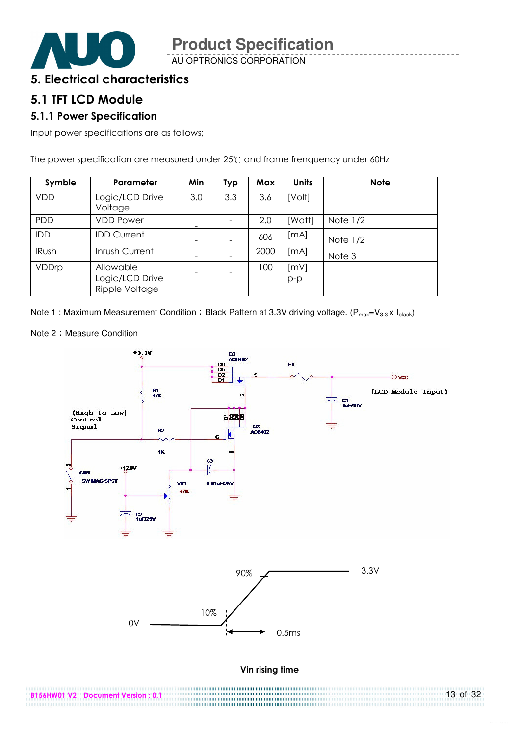

AU OPTRONICS CORPORATION

### 5. Electrical characteristics

#### 5.1 TFT LCD Module

#### 5.1.1 Power Specification

Input power specifications are as follows;

The power specification are measured under  $25^{\circ}$  and frame frenquency under 60Hz

| Symble       | Parameter                                      | Min | <b>Typ</b> | Max  | <b>Units</b>  | <b>Note</b> |
|--------------|------------------------------------------------|-----|------------|------|---------------|-------------|
| <b>VDD</b>   | Logic/LCD Drive<br>Voltage                     | 3.0 | 3.3        | 3.6  | [Volt]        |             |
| <b>PDD</b>   | <b>VDD Power</b>                               |     |            | 2.0  | [Watt]        | Note $1/2$  |
| IDD          | <b>IDD Current</b>                             | -   |            | 606  | [mA]          | Note $1/2$  |
| <b>IRush</b> | Inrush Current                                 |     |            | 2000 | [mA]          | Note 3      |
| VDDrp        | Allowable<br>Logic/LCD Drive<br>Ripple Voltage |     |            | 100  | [mV]<br>$p-p$ |             |

Note 1 : Maximum Measurement Condition : Black Pattern at 3.3V driving voltage. ( $P_{max}=V_{3.3} \times I_{black}$ )

Note 2: Measure Condition

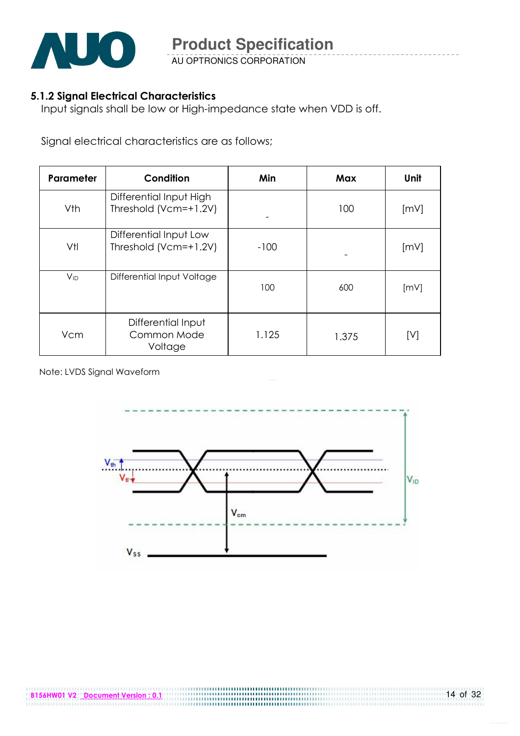

AU OPTRONICS CORPORATION

#### 5.1.2 Signal Electrical Characteristics

Input signals shall be low or High-impedance state when VDD is off.

Signal electrical characteristics are as follows;

| Parameter | Condition                                        | Min    | Max   | Unit |
|-----------|--------------------------------------------------|--------|-------|------|
| Vth       | Differential Input High<br>Threshold (Vcm=+1.2V) |        | 100   | [mV] |
| Vtl       | Differential Input Low<br>Threshold (Vcm=+1.2V)  | $-100$ |       | [mV] |
| $V_{ID}$  | Differential Input Voltage                       | 100    | 600   | [mV] |
| Vcm       | Differential Input<br>Common Mode<br>Voltage     | 1.125  | 1.375 | [V]  |

Note: LVDS Signal Waveform

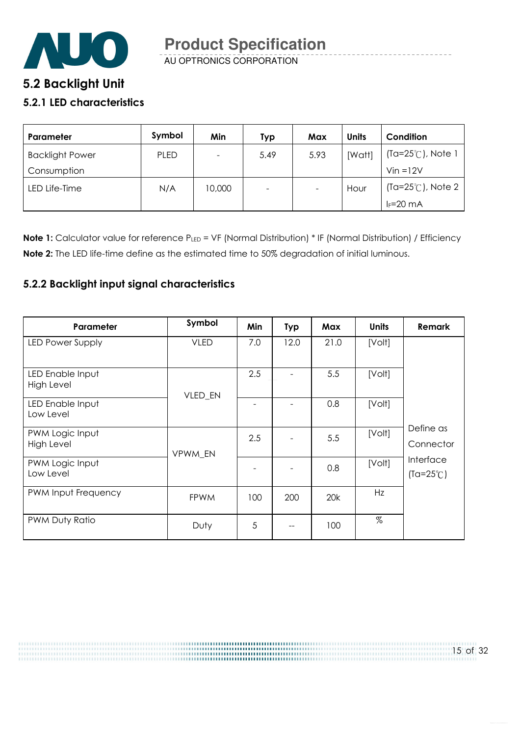

AU OPTRONICS CORPORATION **Product Specification** 

### **5**.2 Backlight Unit

#### 5.2.1 LED characteristics

| <b>Parameter</b>       | Symbol      | Min    | Typ  | Max  | <b>Units</b> | Condition                   |
|------------------------|-------------|--------|------|------|--------------|-----------------------------|
| <b>Backlight Power</b> | <b>PLED</b> |        | 5.49 | 5.93 | [Watt]       | $(Ta=25^{\circ}C)$ , Note 1 |
| Consumption            |             |        |      |      |              | $V$ in = $12V$              |
| LED Life-Time          | N/A         | 10,000 | Ξ.   |      | Hour         | $(Ta=25^{\circ}C)$ , Note 2 |
|                        |             |        |      |      |              | $I_F = 20$ mA               |

Note 1: Calculator value for reference PLED = VF (Normal Distribution) \* IF (Normal Distribution) / Efficiency Note 2: The LED life-time define as the estimated time to 50% degradation of initial luminous.

#### 5.2.2 Backlight input signal characteristics

| Parameter                      | Symbol      | Min | <b>Typ</b> | Max  | <b>Units</b> | <b>Remark</b>                   |
|--------------------------------|-------------|-----|------------|------|--------------|---------------------------------|
| LED Power Supply               | <b>VLED</b> | 7.0 | 12.0       | 21.0 | [Volt]       |                                 |
| LED Enable Input<br>High Level | VLED_EN     | 2.5 |            | 5.5  | [Volt]       |                                 |
| LED Enable Input<br>Low Level  |             |     |            | 0.8  | [Volt]       |                                 |
| PWM Logic Input<br>High Level  | VPWM EN     | 2.5 |            | 5.5  | [Volt]       | Define as<br>Connector          |
| PWM Logic Input<br>Low Level   |             |     |            | 0.8  | [Volt]       | Interface<br>$(Ta=25^{\circ}C)$ |
| PWM Input Frequency            | <b>FPWM</b> | 100 | 200        | 20k  | Hz           |                                 |
| PWM Duty Ratio                 | Duty        | 5   |            | 100  | $\%$         |                                 |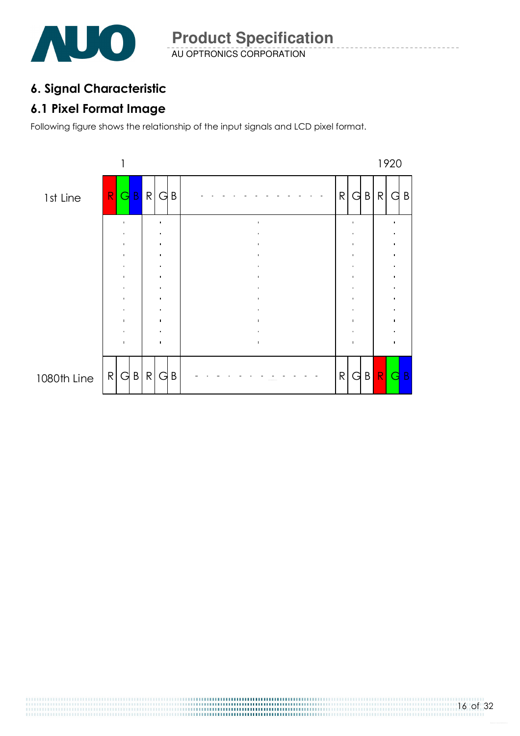

## 6. Signal Characteristic

### 6.1 Pixel Format Image

Following figure shows the relationship of the input signals and LCD pixel format.

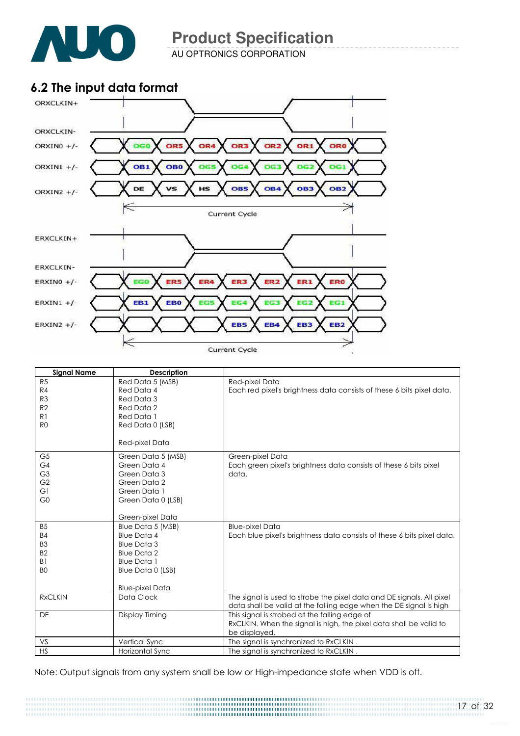

AU OPTRONICS CORPORATION

### 6.2 The input data format



| <b>Signal Name</b> | <b>Description</b>     |                                                                        |  |  |
|--------------------|------------------------|------------------------------------------------------------------------|--|--|
| R5                 | Red Data 5 (MSB)       | Red-pixel Data                                                         |  |  |
| R4                 | Red Data 4             | Each red pixel's brightness data consists of these 6 bits pixel data.  |  |  |
| R <sub>3</sub>     | Red Data 3             |                                                                        |  |  |
| R <sub>2</sub>     | Red Data 2             |                                                                        |  |  |
| R <sub>1</sub>     | Red Data 1             |                                                                        |  |  |
| R <sub>0</sub>     | Red Data 0 (LSB)       |                                                                        |  |  |
|                    | Red-pixel Data         |                                                                        |  |  |
| G <sub>5</sub>     | Green Data 5 (MSB)     | Green-pixel Data                                                       |  |  |
| G <sub>4</sub>     | Green Data 4           | Each green pixel's brightness data consists of these 6 bits pixel      |  |  |
| G <sub>3</sub>     | Green Data 3           | data.                                                                  |  |  |
| G <sub>2</sub>     | Green Data 2           |                                                                        |  |  |
| G1                 | Green Data 1           |                                                                        |  |  |
| G <sub>0</sub>     | Green Data 0 (LSB)     |                                                                        |  |  |
|                    | Green-pixel Data       |                                                                        |  |  |
| B <sub>5</sub>     | Blue Data 5 (MSB)      | <b>Blue-pixel Data</b>                                                 |  |  |
| <b>B4</b>          | <b>Blue Data 4</b>     | Each blue pixel's brightness data consists of these 6 bits pixel data. |  |  |
| B <sub>3</sub>     | <b>Blue Data 3</b>     |                                                                        |  |  |
| B <sub>2</sub>     | <b>Blue Data 2</b>     |                                                                        |  |  |
| B <sub>1</sub>     | <b>Blue Data 1</b>     |                                                                        |  |  |
| B <sub>O</sub>     | Blue Data 0 (LSB)      |                                                                        |  |  |
|                    |                        |                                                                        |  |  |
|                    | <b>Blue-pixel Data</b> |                                                                        |  |  |
| <b>RxCLKIN</b>     | Data Clock             | The signal is used to strobe the pixel data and DE signals. All pixel  |  |  |
|                    |                        | data shall be valid at the falling edge when the DE signal is high     |  |  |
| <b>DE</b>          | Display Timing         | This signal is strobed at the falling edge of                          |  |  |
|                    |                        | RxCLKIN. When the signal is high, the pixel data shall be valid to     |  |  |
|                    |                        | be displayed.                                                          |  |  |
| VS                 | Vertical Sync          | The signal is synchronized to RxCLKIN.                                 |  |  |
| <b>HS</b>          | Horizontal Sync        | The signal is synchronized to RxCLKIN.                                 |  |  |

Note: Output signals from any system shall be low or High-impedance state when VDD is off.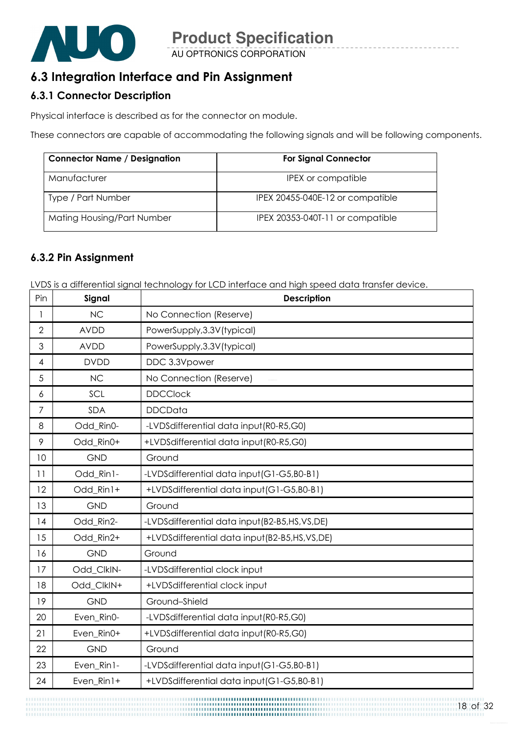

### 6.3 Integration Interface and Pin Assignment

#### 6.3.1 Connector Description

Physical interface is described as for the connector on module.

These connectors are capable of accommodating the following signals and will be following components.

| <b>Connector Name / Designation</b> | <b>For Signal Connector</b>      |
|-------------------------------------|----------------------------------|
| Manufacturer                        | IPEX or compatible               |
| Type / Part Number                  | IPEX 20455-040E-12 or compatible |
| Mating Housing/Part Number          | IPEX 20353-040T-11 or compatible |

#### 6.3.2 Pin Assignment

LVDS is a differential signal technology for LCD interface and high speed data transfer device.

| Pin            | Signal      | <b>Description</b>                           |
|----------------|-------------|----------------------------------------------|
| 1              | <b>NC</b>   | No Connection (Reserve)                      |
| $\mathbf{2}$   | <b>AVDD</b> | PowerSupply, 3.3V (typical)                  |
| 3              | <b>AVDD</b> | PowerSupply, 3.3V (typical)                  |
| 4              | <b>DVDD</b> | DDC 3.3Vpower                                |
| 5              | <b>NC</b>   | No Connection (Reserve)                      |
| 6              | SCL         | <b>DDCClock</b>                              |
| $\overline{7}$ | <b>SDA</b>  | <b>DDCData</b>                               |
| 8              | Odd Rin0-   | -LVDSdifferential data input (R0-R5,G0)      |
| 9              | Odd_Rin0+   | +LVDSdifferential data input(R0-R5,G0)       |
| 10             | <b>GND</b>  | Ground                                       |
| 11             | Odd_Rin1-   | -LVDSdifferential data input (G1-G5,B0-B1)   |
| 12             | Odd_Rin1+   | +LVDSdifferential data input(G1-G5,B0-B1)    |
| 13             | <b>GND</b>  | Ground                                       |
| 14             | Odd_Rin2-   | -LVDSdifferential data input(B2-B5,HS,VS,DE) |
| 15             | Odd_Rin2+   | +LVDSdifferential data input(B2-B5,HS,VS,DE) |
| 16             | <b>GND</b>  | Ground                                       |
| 17             | Odd_ClkIN-  | -LVDSdifferential clock input                |
| 18             | Odd ClkIN+  | +LVDSdifferential clock input                |
| 19             | <b>GND</b>  | Ground-Shield                                |
| 20             | Even_Rin0-  | -LVDSdifferential data input(R0-R5,G0)       |
| 21             | Even_Rin0+  | +LVDSdifferential data input(R0-R5,G0)       |
| 22             | <b>GND</b>  | Ground                                       |
| 23             | Even Rin1-  | -LVDSdifferential data input (G1-G5, B0-B1)  |
| 24             | Even_Rin1+  | +LVDSdifferential data input(G1-G5,B0-B1)    |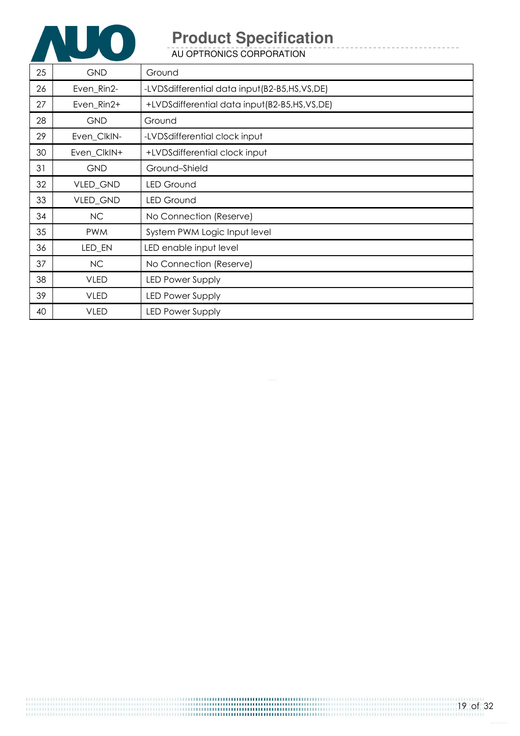

AU OPTRONICS CORPORATION

| 25 | <b>GND</b>  | Ground                                       |
|----|-------------|----------------------------------------------|
| 26 | Even_Rin2-  | -LVDSdifferential data input(B2-B5,HS,VS,DE) |
| 27 | Even_Rin2+  | +LVDSdifferential data input(B2-B5,HS,VS,DE) |
| 28 | <b>GND</b>  | Ground                                       |
| 29 | Even_ClkIN- | -LVDSdifferential clock input                |
| 30 | Even_ClkIN+ | +LVDSdifferential clock input                |
| 31 | <b>GND</b>  | Ground-Shield                                |
| 32 | VLED_GND    | <b>LED Ground</b>                            |
| 33 | VLED_GND    | <b>LED Ground</b>                            |
| 34 | <b>NC</b>   | No Connection (Reserve)                      |
| 35 | <b>PWM</b>  | System PWM Logic Input level                 |
| 36 | LED_EN      | LED enable input level                       |
| 37 | NC          | No Connection (Reserve)                      |
| 38 | <b>VLED</b> | <b>LED Power Supply</b>                      |
| 39 | <b>VLED</b> | LED Power Supply                             |
| 40 | <b>VLED</b> | <b>LED Power Supply</b>                      |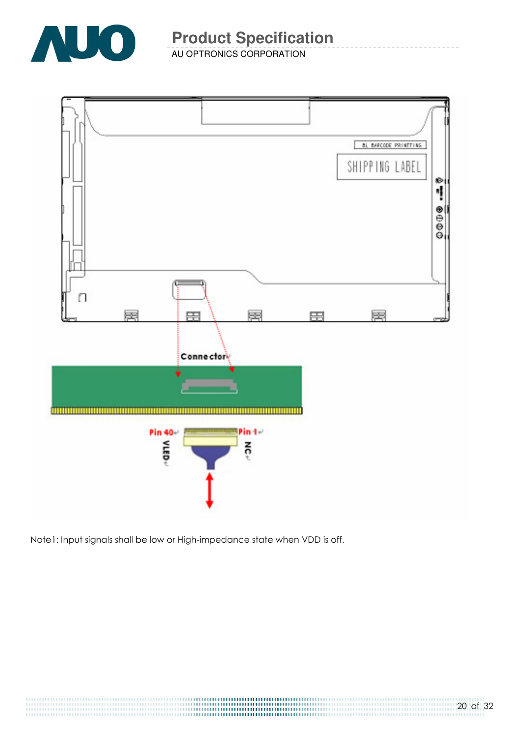

AU OPTRONICS CORPORATION



Note1: Input signals shall be low or High-impedance state when VDD is off.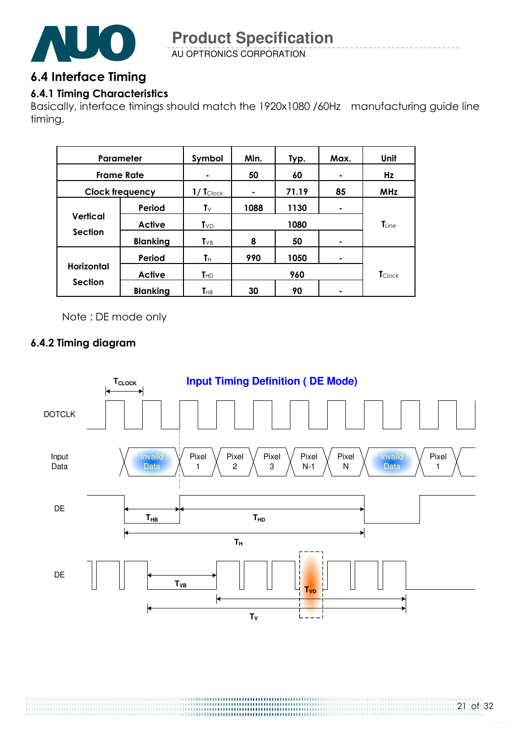

AU OPTRONICS CORPORATION

### 6.4 Interface Timing

### 6.4.1 Timing Characteristics

Basically, interface timings should match the 1920x1080 /60Hz manufacturing guide line timing.

| Parameter              |                 | Symbol                  | Min. | Typ.  | Max. | Unit              |
|------------------------|-----------------|-------------------------|------|-------|------|-------------------|
| <b>Frame Rate</b>      |                 |                         | 50   | 60    |      | Hz                |
| <b>Clock frequency</b> |                 | $1/$ Tclock             | ۰    | 71.19 | 85   | <b>MHz</b>        |
|                        | Period          | $\mathsf{T}_\mathsf{V}$ | 1088 | 1130  | ۰    |                   |
| <b>Vertical</b>        | <b>Active</b>   | $T_{VD}$                | 1080 |       |      | $\mathsf{T}$ Line |
| Section                | <b>Blanking</b> | $T_{VB}$                | 8    | 50    | ۰    |                   |
|                        | Period          | Tн                      | 990  | 1050  | ۰    |                   |
| <b>Horizontal</b>      | <b>Active</b>   | T <sub>HD</sub>         |      | 960   |      | <b>T</b> Clock    |
| <b>Section</b>         | <b>Blanking</b> | $T_{HB}$                | 30   | 90    |      |                   |

Note : DE mode only

### 6.4.2 Timing diagram

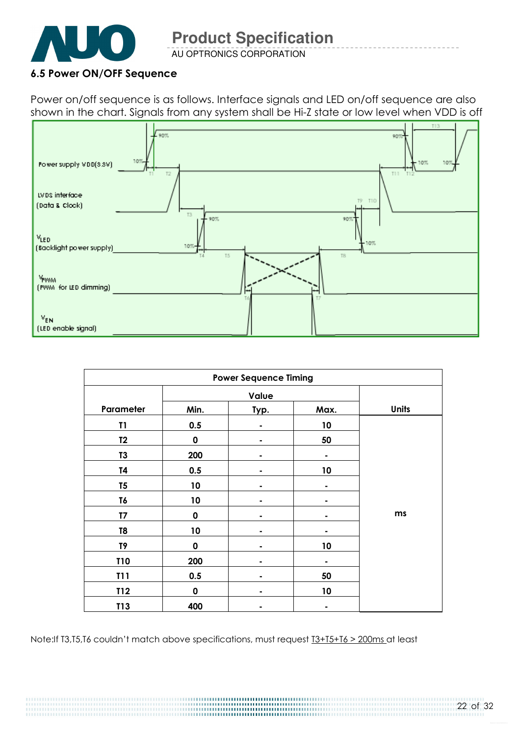

AU OPTRONICS CORPORATION

#### 6.5 Power ON/OFF Sequence

Power on/off sequence is as follows. Interface signals and LED on/off sequence are also shown in the chart. Signals from any system shall be Hi-Z state or low level when VDD is off



| <b>Power Sequence Timing</b> |             |      |      |              |  |
|------------------------------|-------------|------|------|--------------|--|
|                              | Value       |      |      |              |  |
| Parameter                    | Min.        | Typ. | Max. | <b>Units</b> |  |
| T1                           | 0.5         |      | 10   |              |  |
| T <sub>2</sub>               | $\mathbf 0$ |      | 50   |              |  |
| T <sub>3</sub>               | 200         |      |      |              |  |
| T4                           | 0.5         |      | 10   |              |  |
| T <sub>5</sub>               | 10          |      |      |              |  |
| T6                           | 10          |      |      |              |  |
| T7                           | $\mathbf 0$ |      |      | ms           |  |
| T8                           | 10          |      |      |              |  |
| T9                           | $\mathbf 0$ |      | 10   |              |  |
| <b>T10</b>                   | 200         |      |      |              |  |
| <b>T11</b>                   | 0.5         |      | 50   |              |  |
| T12                          | 0           | ۰    | 10   |              |  |
| T13                          | 400         |      |      |              |  |

Note:If T3,T5,T6 couldn't match above specifications, must request T3+T5+T6 > 200ms at least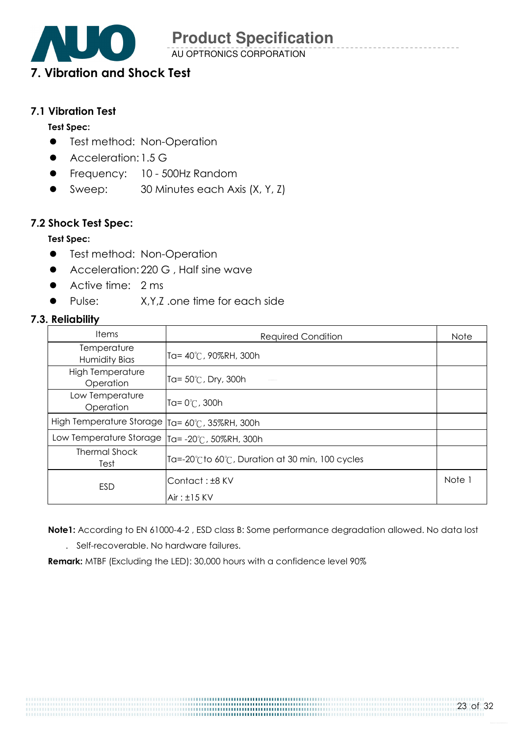AU OPTRONICS CORPORATION

## 7. Vibration and Shock Test

#### 7.1 Vibration Test

#### Test Spec:

- **•** Test method: Non-Operation
- Acceleration: 1.5 G
- **•** Frequency: 10 500Hz Random
- Sweep: 30 Minutes each Axis (X, Y, Z)

#### 7.2 Shock Test Spec:

#### Test Spec:

- **•** Test method: Non-Operation
- Acceleration: 220 G, Half sine wave
- Active time: 2 ms
- Pulse: X,Y,Z .one time for each side

#### 7.3. Reliability

| <b>Items</b>                                     | <b>Required Condition</b>                     | <b>Note</b> |
|--------------------------------------------------|-----------------------------------------------|-------------|
| Temperature<br>Humidity Bias                     | Ta= 40°C, 90%RH, 300h                         |             |
| <b>High Temperature</b><br>Operation             | Ta= $50^{\circ}$ C, Dry, 300h                 |             |
| Low Temperature<br>Operation                     | Ta= $0^{\circ}$ C, 300h                       |             |
| High Temperature Storage                         | Ta= 60°C, 35%RH, 300h                         |             |
| Low Temperature Storage   Ta= -20°C, 50%RH, 300h |                                               |             |
| <b>Thermal Shock</b><br>Test                     | Ta=-20℃to 60℃, Duration at 30 min, 100 cycles |             |
| ESD                                              | Contact: ±8 KV                                | Note 1      |
|                                                  | $Air: \pm 15$ KV                              |             |

Note1: According to EN 61000-4-2 , ESD class B: Some performance degradation allowed. No data lost

. Self-recoverable. No hardware failures.

Remark: MTBF (Excluding the LED): 30,000 hours with a confidence level 90%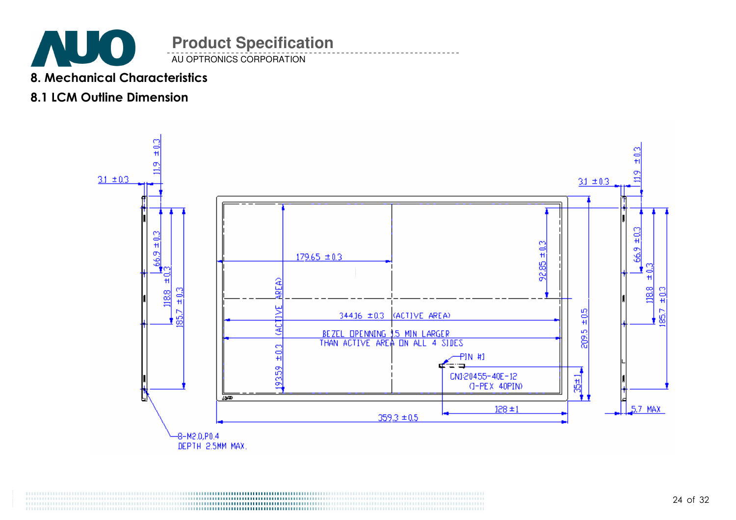

8. Mechanical Characteristics

### 8.1 LCM Outline Dimension

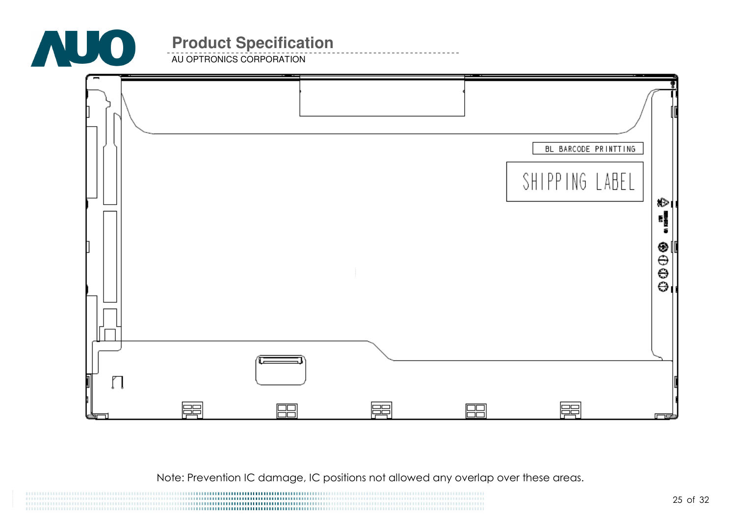

**AU OPTRONICS CORPORATION** 

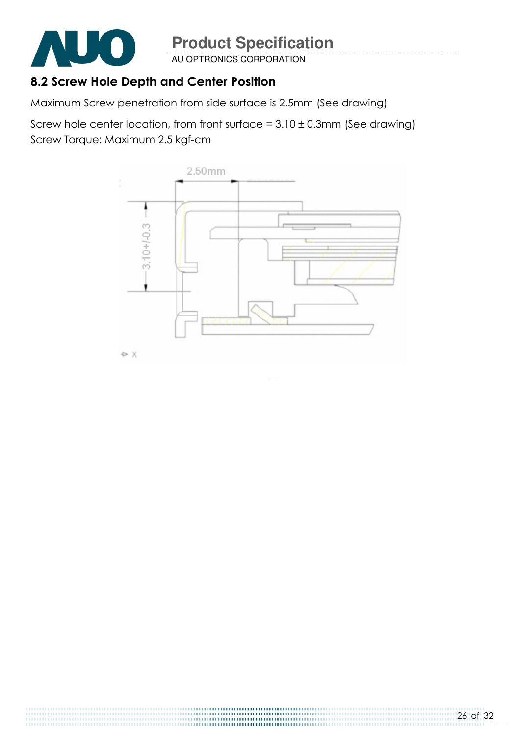

AU OPTRONICS CORPORATION

### 8.2 Screw Hole Depth and Center Position

Maximum Screw penetration from side surface is 2.5mm (See drawing)

Screw hole center location, from front surface =  $3.10 \pm 0.3$ mm (See drawing) Screw Torque: Maximum 2.5 kgf-cm

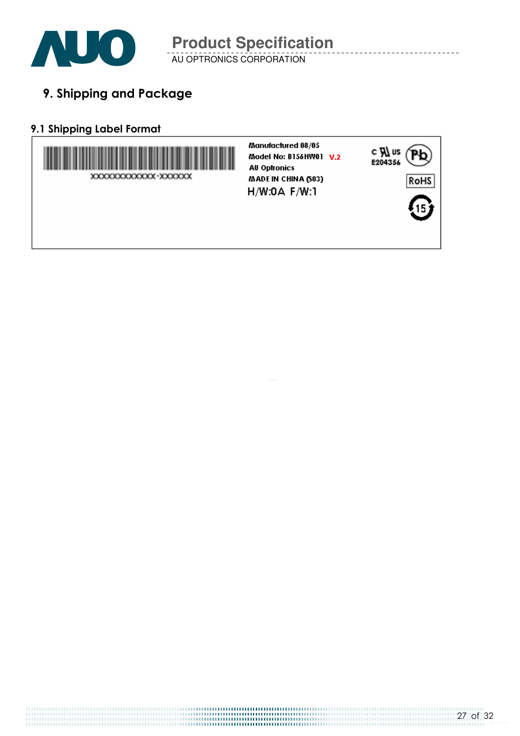

AU OPTRONICS CORPORATION

9. Shipping and Package

### 9.1 Shipping Label Format

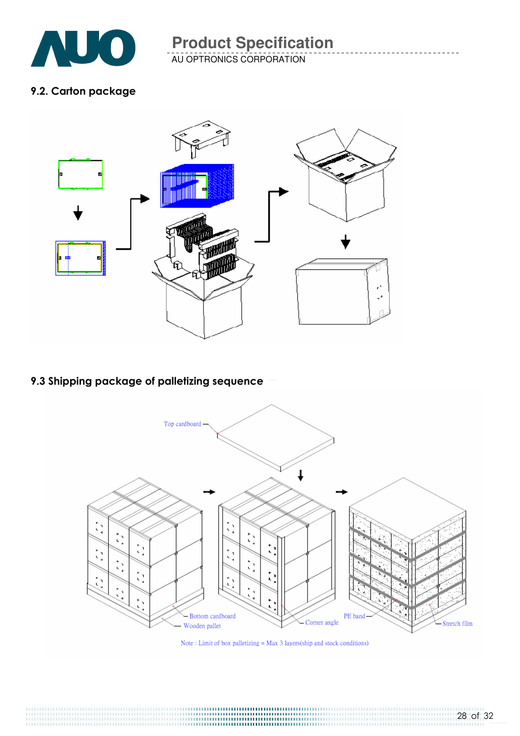

AU OPTRONICS CORPORATION

#### 9.2. Carton package



### 9.3 Shipping package of palletizing sequence



Note: Limit of box palletizing  $=$  Max 3 layers(ship and stock conditions)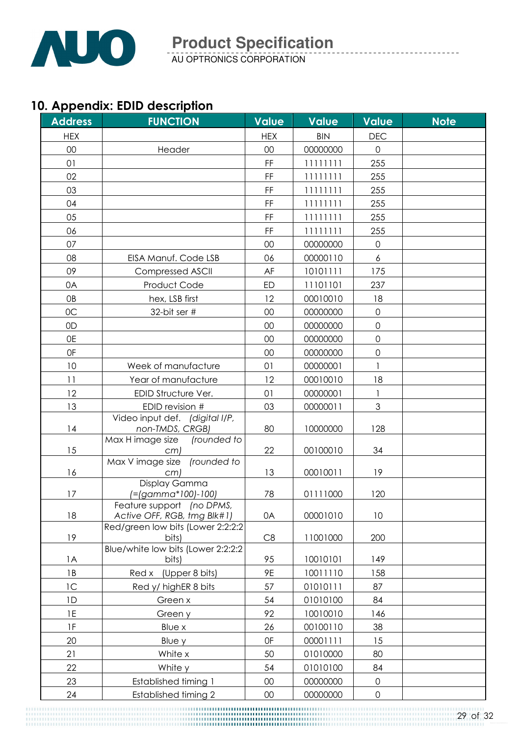

AU OPTRONICS CORPORATION

## 10. Appendix: EDID description

| <b>HEX</b><br><b>HEX</b><br><b>BIN</b><br><b>DEC</b><br>00<br>00<br>00000000<br>$\overline{0}$<br>Header<br>01<br>FF<br>11111111<br>255<br>02<br>FF<br>11111111<br>255<br>03<br>FF<br>11111111<br>255<br>04<br>FF<br>11111111<br>255<br>05<br>FF<br>11111111<br>255<br>06<br>FF<br>11111111<br>255<br>07<br>$\overline{0}$<br>00<br>00000000<br>08<br>00000110<br>EISA Manuf. Code LSB<br>06<br>6<br>09<br>AF<br>10101111<br>175<br><b>Compressed ASCII</b><br>0A<br>Product Code<br>11101101<br>ED<br>237<br>0B<br>12<br>00010010<br>18<br>hex, LSB first<br>OC<br>32-bit ser #<br>00<br>00000000<br>$\overline{0}$<br>$\mathbf 0$<br>0D<br>00<br>00000000<br>0E<br>$\mathbf 0$<br>00<br>00000000<br>0F<br>00<br>00000000<br>$\mathbf 0$<br>10<br>01<br>Week of manufacture<br>00000001<br>11<br>12<br>00010010<br>18<br>Year of manufacture<br>12<br>EDID Structure Ver.<br>01<br>00000001<br>3<br>13<br>EDID revision #<br>03<br>00000011<br>Video input def. (digital I/P,<br> 4<br>non-TMDS, CRGB)<br>80<br>10000000<br>128<br>Max H image size<br>(rounded to<br>15<br>00100010<br>22<br>34<br>cm)<br>Max V image size (rounded to<br>16<br>13<br>00010011<br>19<br>cm)<br>Display Gamma<br>17<br>78<br>(=(gamma*100)-100)<br>01111000<br>120<br>Feature support (no DPMS,<br>18<br>Active OFF, RGB, tmg Blk#1)<br>00001010<br>10<br>0A<br>Red/green low bits (Lower 2:2:2:2<br>19<br>C8<br>bits)<br>11001000<br>200<br>Blue/white low bits (Lower 2:2:2:2<br>1A<br>95<br>10010101<br>149<br>bits)<br>1B<br>9E<br>10011110<br>(Upper 8 bits)<br>Red x<br>158<br>1C<br>Red y/ highER 8 bits<br>57<br>01010111<br>87<br>01010100<br>1D<br>54<br>84<br>Green x<br>1E<br>92<br>10010010<br>146<br>Green y<br>1F<br>Blue x<br>26<br>00100110<br>38<br>20<br><b>OF</b><br>00001111<br>Blue y<br>15<br>21<br>White x<br>50<br>01010000<br>80<br>22<br>54<br>01010100<br>84<br>White y<br>23<br>$00\,$<br>00000000<br><b>Established timing 1</b><br>$\mathbf 0$ | <b>Address</b> | <b>FUNCTION</b>             | <b>Value</b> | <b>Value</b> | <b>Value</b>        | <b>Note</b> |
|----------------------------------------------------------------------------------------------------------------------------------------------------------------------------------------------------------------------------------------------------------------------------------------------------------------------------------------------------------------------------------------------------------------------------------------------------------------------------------------------------------------------------------------------------------------------------------------------------------------------------------------------------------------------------------------------------------------------------------------------------------------------------------------------------------------------------------------------------------------------------------------------------------------------------------------------------------------------------------------------------------------------------------------------------------------------------------------------------------------------------------------------------------------------------------------------------------------------------------------------------------------------------------------------------------------------------------------------------------------------------------------------------------------------------------------------------------------------------------------------------------------------------------------------------------------------------------------------------------------------------------------------------------------------------------------------------------------------------------------------------------------------------------------------------------------------------------------------------------------------------------------------------------------------------------------------------------------|----------------|-----------------------------|--------------|--------------|---------------------|-------------|
|                                                                                                                                                                                                                                                                                                                                                                                                                                                                                                                                                                                                                                                                                                                                                                                                                                                                                                                                                                                                                                                                                                                                                                                                                                                                                                                                                                                                                                                                                                                                                                                                                                                                                                                                                                                                                                                                                                                                                                |                |                             |              |              |                     |             |
|                                                                                                                                                                                                                                                                                                                                                                                                                                                                                                                                                                                                                                                                                                                                                                                                                                                                                                                                                                                                                                                                                                                                                                                                                                                                                                                                                                                                                                                                                                                                                                                                                                                                                                                                                                                                                                                                                                                                                                |                |                             |              |              |                     |             |
|                                                                                                                                                                                                                                                                                                                                                                                                                                                                                                                                                                                                                                                                                                                                                                                                                                                                                                                                                                                                                                                                                                                                                                                                                                                                                                                                                                                                                                                                                                                                                                                                                                                                                                                                                                                                                                                                                                                                                                |                |                             |              |              |                     |             |
|                                                                                                                                                                                                                                                                                                                                                                                                                                                                                                                                                                                                                                                                                                                                                                                                                                                                                                                                                                                                                                                                                                                                                                                                                                                                                                                                                                                                                                                                                                                                                                                                                                                                                                                                                                                                                                                                                                                                                                |                |                             |              |              |                     |             |
|                                                                                                                                                                                                                                                                                                                                                                                                                                                                                                                                                                                                                                                                                                                                                                                                                                                                                                                                                                                                                                                                                                                                                                                                                                                                                                                                                                                                                                                                                                                                                                                                                                                                                                                                                                                                                                                                                                                                                                |                |                             |              |              |                     |             |
|                                                                                                                                                                                                                                                                                                                                                                                                                                                                                                                                                                                                                                                                                                                                                                                                                                                                                                                                                                                                                                                                                                                                                                                                                                                                                                                                                                                                                                                                                                                                                                                                                                                                                                                                                                                                                                                                                                                                                                |                |                             |              |              |                     |             |
|                                                                                                                                                                                                                                                                                                                                                                                                                                                                                                                                                                                                                                                                                                                                                                                                                                                                                                                                                                                                                                                                                                                                                                                                                                                                                                                                                                                                                                                                                                                                                                                                                                                                                                                                                                                                                                                                                                                                                                |                |                             |              |              |                     |             |
|                                                                                                                                                                                                                                                                                                                                                                                                                                                                                                                                                                                                                                                                                                                                                                                                                                                                                                                                                                                                                                                                                                                                                                                                                                                                                                                                                                                                                                                                                                                                                                                                                                                                                                                                                                                                                                                                                                                                                                |                |                             |              |              |                     |             |
|                                                                                                                                                                                                                                                                                                                                                                                                                                                                                                                                                                                                                                                                                                                                                                                                                                                                                                                                                                                                                                                                                                                                                                                                                                                                                                                                                                                                                                                                                                                                                                                                                                                                                                                                                                                                                                                                                                                                                                |                |                             |              |              |                     |             |
|                                                                                                                                                                                                                                                                                                                                                                                                                                                                                                                                                                                                                                                                                                                                                                                                                                                                                                                                                                                                                                                                                                                                                                                                                                                                                                                                                                                                                                                                                                                                                                                                                                                                                                                                                                                                                                                                                                                                                                |                |                             |              |              |                     |             |
|                                                                                                                                                                                                                                                                                                                                                                                                                                                                                                                                                                                                                                                                                                                                                                                                                                                                                                                                                                                                                                                                                                                                                                                                                                                                                                                                                                                                                                                                                                                                                                                                                                                                                                                                                                                                                                                                                                                                                                |                |                             |              |              |                     |             |
|                                                                                                                                                                                                                                                                                                                                                                                                                                                                                                                                                                                                                                                                                                                                                                                                                                                                                                                                                                                                                                                                                                                                                                                                                                                                                                                                                                                                                                                                                                                                                                                                                                                                                                                                                                                                                                                                                                                                                                |                |                             |              |              |                     |             |
|                                                                                                                                                                                                                                                                                                                                                                                                                                                                                                                                                                                                                                                                                                                                                                                                                                                                                                                                                                                                                                                                                                                                                                                                                                                                                                                                                                                                                                                                                                                                                                                                                                                                                                                                                                                                                                                                                                                                                                |                |                             |              |              |                     |             |
|                                                                                                                                                                                                                                                                                                                                                                                                                                                                                                                                                                                                                                                                                                                                                                                                                                                                                                                                                                                                                                                                                                                                                                                                                                                                                                                                                                                                                                                                                                                                                                                                                                                                                                                                                                                                                                                                                                                                                                |                |                             |              |              |                     |             |
|                                                                                                                                                                                                                                                                                                                                                                                                                                                                                                                                                                                                                                                                                                                                                                                                                                                                                                                                                                                                                                                                                                                                                                                                                                                                                                                                                                                                                                                                                                                                                                                                                                                                                                                                                                                                                                                                                                                                                                |                |                             |              |              |                     |             |
|                                                                                                                                                                                                                                                                                                                                                                                                                                                                                                                                                                                                                                                                                                                                                                                                                                                                                                                                                                                                                                                                                                                                                                                                                                                                                                                                                                                                                                                                                                                                                                                                                                                                                                                                                                                                                                                                                                                                                                |                |                             |              |              |                     |             |
|                                                                                                                                                                                                                                                                                                                                                                                                                                                                                                                                                                                                                                                                                                                                                                                                                                                                                                                                                                                                                                                                                                                                                                                                                                                                                                                                                                                                                                                                                                                                                                                                                                                                                                                                                                                                                                                                                                                                                                |                |                             |              |              |                     |             |
|                                                                                                                                                                                                                                                                                                                                                                                                                                                                                                                                                                                                                                                                                                                                                                                                                                                                                                                                                                                                                                                                                                                                                                                                                                                                                                                                                                                                                                                                                                                                                                                                                                                                                                                                                                                                                                                                                                                                                                |                |                             |              |              |                     |             |
|                                                                                                                                                                                                                                                                                                                                                                                                                                                                                                                                                                                                                                                                                                                                                                                                                                                                                                                                                                                                                                                                                                                                                                                                                                                                                                                                                                                                                                                                                                                                                                                                                                                                                                                                                                                                                                                                                                                                                                |                |                             |              |              |                     |             |
|                                                                                                                                                                                                                                                                                                                                                                                                                                                                                                                                                                                                                                                                                                                                                                                                                                                                                                                                                                                                                                                                                                                                                                                                                                                                                                                                                                                                                                                                                                                                                                                                                                                                                                                                                                                                                                                                                                                                                                |                |                             |              |              |                     |             |
|                                                                                                                                                                                                                                                                                                                                                                                                                                                                                                                                                                                                                                                                                                                                                                                                                                                                                                                                                                                                                                                                                                                                                                                                                                                                                                                                                                                                                                                                                                                                                                                                                                                                                                                                                                                                                                                                                                                                                                |                |                             |              |              |                     |             |
|                                                                                                                                                                                                                                                                                                                                                                                                                                                                                                                                                                                                                                                                                                                                                                                                                                                                                                                                                                                                                                                                                                                                                                                                                                                                                                                                                                                                                                                                                                                                                                                                                                                                                                                                                                                                                                                                                                                                                                |                |                             |              |              |                     |             |
|                                                                                                                                                                                                                                                                                                                                                                                                                                                                                                                                                                                                                                                                                                                                                                                                                                                                                                                                                                                                                                                                                                                                                                                                                                                                                                                                                                                                                                                                                                                                                                                                                                                                                                                                                                                                                                                                                                                                                                |                |                             |              |              |                     |             |
|                                                                                                                                                                                                                                                                                                                                                                                                                                                                                                                                                                                                                                                                                                                                                                                                                                                                                                                                                                                                                                                                                                                                                                                                                                                                                                                                                                                                                                                                                                                                                                                                                                                                                                                                                                                                                                                                                                                                                                |                |                             |              |              |                     |             |
|                                                                                                                                                                                                                                                                                                                                                                                                                                                                                                                                                                                                                                                                                                                                                                                                                                                                                                                                                                                                                                                                                                                                                                                                                                                                                                                                                                                                                                                                                                                                                                                                                                                                                                                                                                                                                                                                                                                                                                |                |                             |              |              |                     |             |
|                                                                                                                                                                                                                                                                                                                                                                                                                                                                                                                                                                                                                                                                                                                                                                                                                                                                                                                                                                                                                                                                                                                                                                                                                                                                                                                                                                                                                                                                                                                                                                                                                                                                                                                                                                                                                                                                                                                                                                |                |                             |              |              |                     |             |
|                                                                                                                                                                                                                                                                                                                                                                                                                                                                                                                                                                                                                                                                                                                                                                                                                                                                                                                                                                                                                                                                                                                                                                                                                                                                                                                                                                                                                                                                                                                                                                                                                                                                                                                                                                                                                                                                                                                                                                |                |                             |              |              |                     |             |
|                                                                                                                                                                                                                                                                                                                                                                                                                                                                                                                                                                                                                                                                                                                                                                                                                                                                                                                                                                                                                                                                                                                                                                                                                                                                                                                                                                                                                                                                                                                                                                                                                                                                                                                                                                                                                                                                                                                                                                |                |                             |              |              |                     |             |
|                                                                                                                                                                                                                                                                                                                                                                                                                                                                                                                                                                                                                                                                                                                                                                                                                                                                                                                                                                                                                                                                                                                                                                                                                                                                                                                                                                                                                                                                                                                                                                                                                                                                                                                                                                                                                                                                                                                                                                |                |                             |              |              |                     |             |
|                                                                                                                                                                                                                                                                                                                                                                                                                                                                                                                                                                                                                                                                                                                                                                                                                                                                                                                                                                                                                                                                                                                                                                                                                                                                                                                                                                                                                                                                                                                                                                                                                                                                                                                                                                                                                                                                                                                                                                |                |                             |              |              |                     |             |
|                                                                                                                                                                                                                                                                                                                                                                                                                                                                                                                                                                                                                                                                                                                                                                                                                                                                                                                                                                                                                                                                                                                                                                                                                                                                                                                                                                                                                                                                                                                                                                                                                                                                                                                                                                                                                                                                                                                                                                |                |                             |              |              |                     |             |
|                                                                                                                                                                                                                                                                                                                                                                                                                                                                                                                                                                                                                                                                                                                                                                                                                                                                                                                                                                                                                                                                                                                                                                                                                                                                                                                                                                                                                                                                                                                                                                                                                                                                                                                                                                                                                                                                                                                                                                |                |                             |              |              |                     |             |
|                                                                                                                                                                                                                                                                                                                                                                                                                                                                                                                                                                                                                                                                                                                                                                                                                                                                                                                                                                                                                                                                                                                                                                                                                                                                                                                                                                                                                                                                                                                                                                                                                                                                                                                                                                                                                                                                                                                                                                |                |                             |              |              |                     |             |
|                                                                                                                                                                                                                                                                                                                                                                                                                                                                                                                                                                                                                                                                                                                                                                                                                                                                                                                                                                                                                                                                                                                                                                                                                                                                                                                                                                                                                                                                                                                                                                                                                                                                                                                                                                                                                                                                                                                                                                |                |                             |              |              |                     |             |
|                                                                                                                                                                                                                                                                                                                                                                                                                                                                                                                                                                                                                                                                                                                                                                                                                                                                                                                                                                                                                                                                                                                                                                                                                                                                                                                                                                                                                                                                                                                                                                                                                                                                                                                                                                                                                                                                                                                                                                |                |                             |              |              |                     |             |
|                                                                                                                                                                                                                                                                                                                                                                                                                                                                                                                                                                                                                                                                                                                                                                                                                                                                                                                                                                                                                                                                                                                                                                                                                                                                                                                                                                                                                                                                                                                                                                                                                                                                                                                                                                                                                                                                                                                                                                |                |                             |              |              |                     |             |
|                                                                                                                                                                                                                                                                                                                                                                                                                                                                                                                                                                                                                                                                                                                                                                                                                                                                                                                                                                                                                                                                                                                                                                                                                                                                                                                                                                                                                                                                                                                                                                                                                                                                                                                                                                                                                                                                                                                                                                |                |                             |              |              |                     |             |
|                                                                                                                                                                                                                                                                                                                                                                                                                                                                                                                                                                                                                                                                                                                                                                                                                                                                                                                                                                                                                                                                                                                                                                                                                                                                                                                                                                                                                                                                                                                                                                                                                                                                                                                                                                                                                                                                                                                                                                | 24             | <b>Established timing 2</b> | $00\,$       | 00000000     | $\mathsf{O}\xspace$ |             |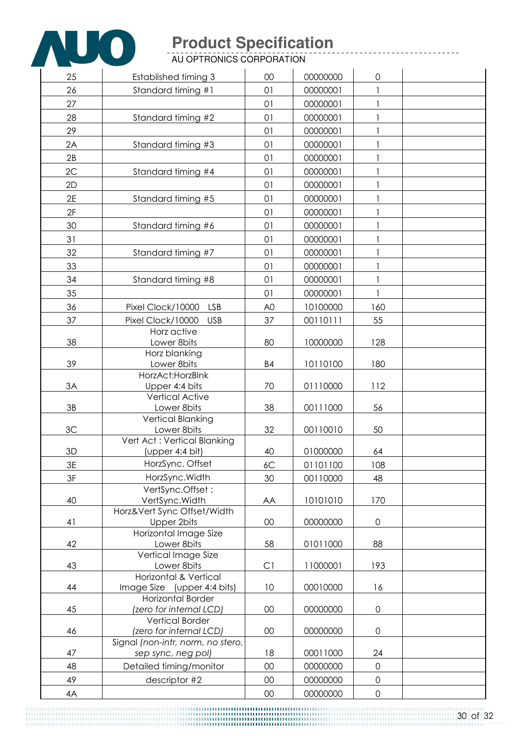

AU OPTRONICS CORPORATION

| 25 | Established timing 3                                            | 00             | 00000000 | $\mathbf 0$         |  |
|----|-----------------------------------------------------------------|----------------|----------|---------------------|--|
| 26 | Standard timing #1                                              | 01             | 00000001 |                     |  |
| 27 |                                                                 | 01             | 00000001 | 1                   |  |
| 28 | Standard timing #2                                              | 01             | 00000001 |                     |  |
| 29 |                                                                 | 01             | 00000001 | 1                   |  |
| 2A | Standard timing #3                                              | 01             | 00000001 | 1                   |  |
| 2B |                                                                 | 01             |          |                     |  |
|    |                                                                 |                | 00000001 |                     |  |
| 2C | Standard timing #4                                              | 01             | 00000001 |                     |  |
| 2D |                                                                 | 01             | 00000001 |                     |  |
| 2E | Standard timing #5                                              | 01             | 00000001 | $\mathbf{1}$        |  |
| 2F |                                                                 | 01             | 00000001 |                     |  |
| 30 | Standard timing #6                                              | 01             | 00000001 | 1                   |  |
| 31 |                                                                 | 01             | 00000001 | 1                   |  |
| 32 | Standard timing #7                                              | 01             | 00000001 | 1                   |  |
| 33 |                                                                 | 01             | 00000001 |                     |  |
| 34 | Standard timing #8                                              | 01             | 00000001 |                     |  |
| 35 |                                                                 | 01             | 00000001 | 1                   |  |
| 36 | Pixel Clock/10000<br><b>LSB</b>                                 | A <sub>0</sub> | 10100000 | 160                 |  |
| 37 | Pixel Clock/10000<br><b>USB</b>                                 | 37             | 00110111 | 55                  |  |
|    | Horz active                                                     |                |          |                     |  |
| 38 | Lower 8bits                                                     | 80             | 10000000 | 128                 |  |
|    | Horz blanking                                                   |                |          |                     |  |
| 39 | Lower 8bits                                                     | <b>B4</b>      | 10110100 | 180                 |  |
|    | HorzAct: HorzBlnk                                               |                |          |                     |  |
| 3A | Upper 4:4 bits<br><b>Vertical Active</b>                        | 70             | 01110000 | 112                 |  |
| 3B | Lower 8bits                                                     | 38             | 00111000 | 56                  |  |
|    | <b>Vertical Blanking</b>                                        |                |          |                     |  |
| 3C | Lower 8bits                                                     | 32             | 00110010 | 50                  |  |
|    | Vert Act: Vertical Blanking                                     |                |          |                     |  |
| 3D | (upper 4:4 bit)                                                 | 40             | 01000000 | 64                  |  |
| 3E | HorzSync. Offset                                                | 6C             | 01101100 | 108                 |  |
| 3F | HorzSync.Width                                                  | 30             | 00110000 | 48                  |  |
|    | VertSync.Offset:                                                |                |          |                     |  |
| 40 | VertSync. Width<br>Horz‖ Sync Offset/Width                      | AA             | 10101010 | 170                 |  |
| 41 | <b>Upper 2bits</b>                                              | 00             | 00000000 | $\mathsf{O}\xspace$ |  |
|    | Horizontal Image Size                                           |                |          |                     |  |
| 42 | Lower 8bits                                                     | 58             | 01011000 | 88                  |  |
|    | Vertical Image Size                                             |                |          |                     |  |
| 43 | Lower 8bits                                                     | C1             | 11000001 | 193                 |  |
| 44 | <b>Horizontal &amp; Vertical</b><br>Image Size (upper 4:4 bits) | 10             | 00010000 | 16                  |  |
|    | <b>Horizontal Border</b>                                        |                |          |                     |  |
| 45 | (zero for internal LCD)                                         | 00             | 00000000 | $\mathsf{O}\xspace$ |  |
|    | <b>Vertical Border</b>                                          |                |          |                     |  |
| 46 | (zero for internal LCD)                                         | 00             | 00000000 | $\mathsf{O}\xspace$ |  |
|    | Signal (non-intr, norm, no stero,                               |                |          |                     |  |
| 47 | sep sync, neg pol)                                              | 18             | 00011000 | 24                  |  |
| 48 | Detailed timing/monitor                                         | 00             | 00000000 | $\mathbf 0$         |  |
| 49 | descriptor #2                                                   | 00             | 00000000 | $\mathsf{O}$        |  |
| 4A |                                                                 | $00\,$         | 00000000 | $\mathsf{O}$        |  |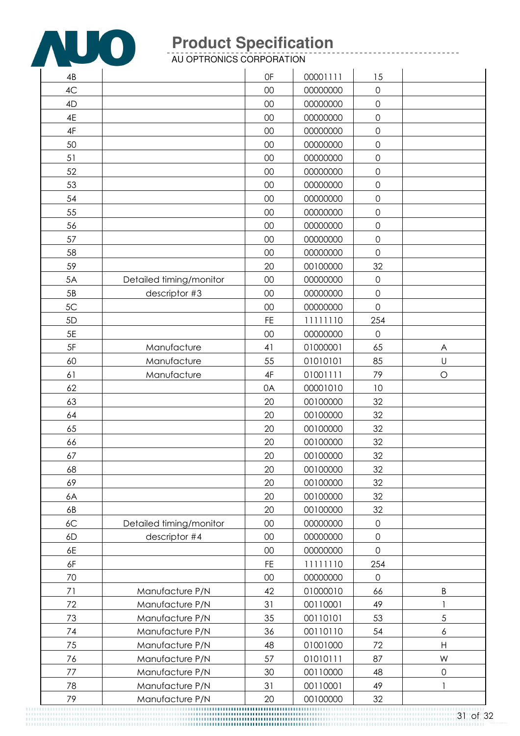

AU OPTRONICS CORPORATION

| 4B       |                                    | 0F            | 00001111             | 15                  |                                    |
|----------|------------------------------------|---------------|----------------------|---------------------|------------------------------------|
| 4C       |                                    | 00            | 00000000             | $\mathsf{O}\xspace$ |                                    |
| 4D       |                                    | 00            | 00000000             | $\overline{0}$      |                                    |
| 4E       |                                    | 00            | 00000000             | $\mathbf 0$         |                                    |
| 4F       |                                    | 00            | 00000000             | $\mathsf{O}\xspace$ |                                    |
| 50       |                                    | 00            | 00000000             | $\mathbf 0$         |                                    |
| 51       |                                    | 00            | 00000000             | $\mathsf{O}\xspace$ |                                    |
| 52       |                                    | 00            | 00000000             | $\mathsf{O}\xspace$ |                                    |
| 53       |                                    | 00            | 00000000             | $\mathsf{O}\xspace$ |                                    |
| 54       |                                    | 00            | 00000000             | $\mathsf{O}$        |                                    |
| 55       |                                    | 00            | 00000000             | $\mathbf 0$         |                                    |
| 56       |                                    | 00            | 00000000             | $\mathsf{O}\xspace$ |                                    |
| 57       |                                    | 00            | 00000000             | $\mathsf{O}\xspace$ |                                    |
| 58       |                                    | 00            | 00000000             | $\mathbf 0$         |                                    |
| 59       |                                    | 20            | 00100000             | 32                  |                                    |
| 5A       | Detailed timing/monitor            | 00            | 00000000             | $\mathsf{O}\xspace$ |                                    |
| 5B       | descriptor #3                      | 00            | 00000000             | $\mathbf 0$         |                                    |
| 5C       |                                    | 00            | 00000000             | $\overline{0}$      |                                    |
| 5D       |                                    | <b>FE</b>     | 11111110             | 254                 |                                    |
| 5E       |                                    | 00            | 00000000             | $\mathbf 0$         |                                    |
| $5F$     | Manufacture                        | 41            | 01000001             | 65                  | A                                  |
| 60       | Manufacture                        | 55            | 01010101             | 85                  | $\sf U$                            |
| 61       | Manufacture                        | $4\mathsf{F}$ | 01001111             | 79                  | $\circ$                            |
| 62       |                                    | 0A            | 00001010             | 10                  |                                    |
| 63       |                                    | 20            | 00100000             | 32                  |                                    |
| 64       |                                    | 20            | 00100000             | 32                  |                                    |
| 65       |                                    | 20            | 00100000             | 32                  |                                    |
| 66       |                                    | 20            | 00100000             | 32                  |                                    |
| 67       |                                    | 20            | 00100000             | 32                  |                                    |
| 68       |                                    | 20            | 00100000             | 32                  |                                    |
| 69       |                                    | 20            | 00100000             | 32                  |                                    |
| 6A       |                                    | 20            | 00100000             | 32                  |                                    |
| 6B       |                                    | 20            | 00100000             | 32                  |                                    |
| 6C       | Detailed timing/monitor            | 00            | 00000000             | $\mathsf{O}\xspace$ |                                    |
| 6D       | descriptor #4                      | 00            | 00000000             | $\mathsf{O}\xspace$ |                                    |
| 6E       |                                    | 00            | 00000000             | $\mathbf 0$         |                                    |
| 6F       |                                    | <b>FE</b>     | 11111110             | 254                 |                                    |
| 70       |                                    | 00            | 00000000             | $\mathsf{O}\xspace$ |                                    |
| 71       | Manufacture P/N                    | 42            | 01000010             | 66                  | $\sf B$                            |
| 72       | Manufacture P/N                    | 31            | 00110001             | 49                  | 1                                  |
| 73       | Manufacture P/N                    | 35            | 00110101             | 53                  | $\sqrt{5}$                         |
| 74<br>75 | Manufacture P/N<br>Manufacture P/N | 36<br>48      | 00110110<br>01001000 | 54<br>72            | $\boldsymbol{6}$<br>$\overline{H}$ |
| 76       | Manufacture P/N                    | 57            | 01010111             | 87                  | W                                  |
| 77       | Manufacture P/N                    | 30            | 00110000             | 48                  | $\mathsf{O}\xspace$                |
| 78       | Manufacture P/N                    | 31            | 00110001             | 49                  | 1                                  |
| 79       | Manufacture P/N                    | 20            | 00100000             | 32                  |                                    |
|          |                                    |               |                      |                     |                                    |